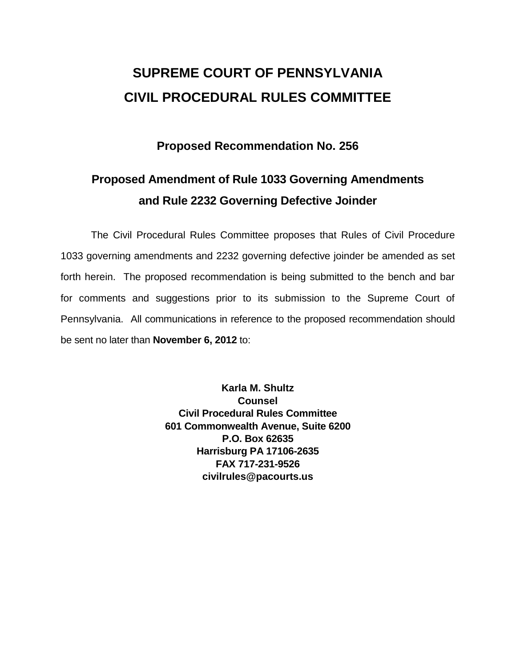# **SUPREME COURT OF PENNSYLVANIA CIVIL PROCEDURAL RULES COMMITTEE**

### **Proposed Recommendation No. 256**

## **Proposed Amendment of Rule 1033 Governing Amendments and Rule 2232 Governing Defective Joinder**

The Civil Procedural Rules Committee proposes that Rules of Civil Procedure 1033 governing amendments and 2232 governing defective joinder be amended as set forth herein. The proposed recommendation is being submitted to the bench and bar for comments and suggestions prior to its submission to the Supreme Court of Pennsylvania. All communications in reference to the proposed recommendation should be sent no later than **November 6, 2012** to:

> **Karla M. Shultz Counsel Civil Procedural Rules Committee 601 Commonwealth Avenue, Suite 6200 P.O. Box 62635 Harrisburg PA 17106-2635 FAX 717-231-9526 civilrules@pacourts.us**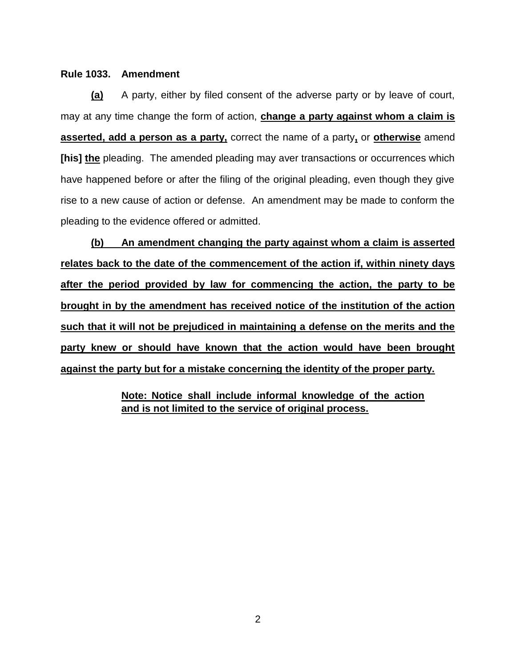#### **Rule 1033. Amendment**

**(a)** A party, either by filed consent of the adverse party or by leave of court, may at any time change the form of action, **change a party against whom a claim is asserted, add a person as a party,** correct the name of a party**,** or **otherwise** amend **[his] the** pleading. The amended pleading may aver transactions or occurrences which have happened before or after the filing of the original pleading, even though they give rise to a new cause of action or defense. An amendment may be made to conform the pleading to the evidence offered or admitted.

**(b) An amendment changing the party against whom a claim is asserted relates back to the date of the commencement of the action if, within ninety days after the period provided by law for commencing the action, the party to be brought in by the amendment has received notice of the institution of the action such that it will not be prejudiced in maintaining a defense on the merits and the party knew or should have known that the action would have been brought against the party but for a mistake concerning the identity of the proper party.**

> **Note: Notice shall include informal knowledge of the action and is not limited to the service of original process.**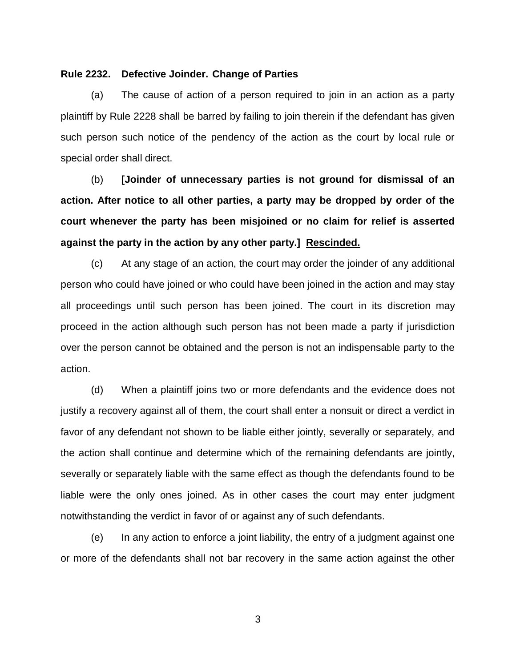#### **Rule 2232. Defective Joinder. Change of Parties**

(a) The cause of action of a person required to join in an action as a party plaintiff by Rule 2228 shall be barred by failing to join therein if the defendant has given such person such notice of the pendency of the action as the court by local rule or special order shall direct.

(b) **[Joinder of unnecessary parties is not ground for dismissal of an action. After notice to all other parties, a party may be dropped by order of the court whenever the party has been misjoined or no claim for relief is asserted against the party in the action by any other party.] Rescinded.**

(c) At any stage of an action, the court may order the joinder of any additional person who could have joined or who could have been joined in the action and may stay all proceedings until such person has been joined. The court in its discretion may proceed in the action although such person has not been made a party if jurisdiction over the person cannot be obtained and the person is not an indispensable party to the action.

(d) When a plaintiff joins two or more defendants and the evidence does not justify a recovery against all of them, the court shall enter a nonsuit or direct a verdict in favor of any defendant not shown to be liable either jointly, severally or separately, and the action shall continue and determine which of the remaining defendants are jointly, severally or separately liable with the same effect as though the defendants found to be liable were the only ones joined. As in other cases the court may enter judgment notwithstanding the verdict in favor of or against any of such defendants.

(e) In any action to enforce a joint liability, the entry of a judgment against one or more of the defendants shall not bar recovery in the same action against the other

3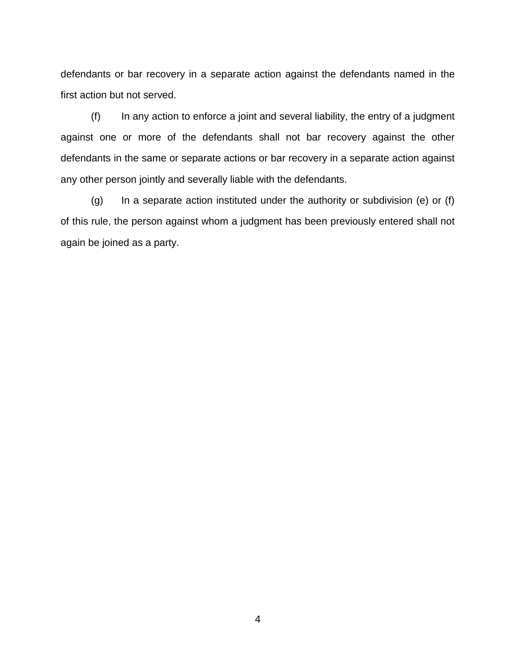defendants or bar recovery in a separate action against the defendants named in the first action but not served.

(f) In any action to enforce a joint and several liability, the entry of a judgment against one or more of the defendants shall not bar recovery against the other defendants in the same or separate actions or bar recovery in a separate action against any other person jointly and severally liable with the defendants.

(g) In a separate action instituted under the authority or subdivision (e) or (f) of this rule, the person against whom a judgment has been previously entered shall not again be joined as a party.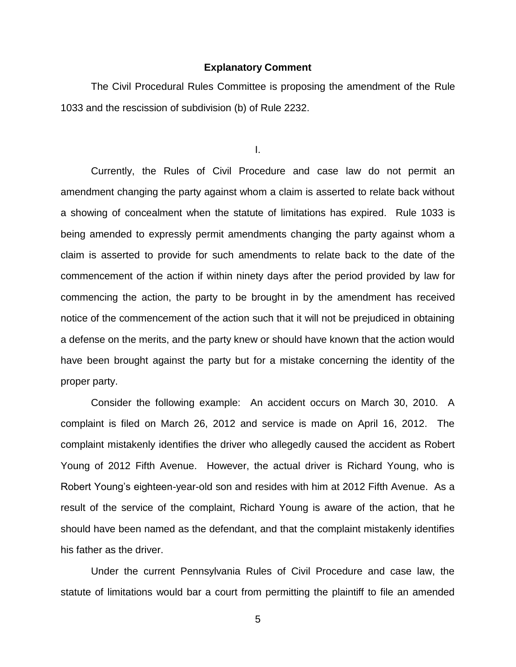#### **Explanatory Comment**

The Civil Procedural Rules Committee is proposing the amendment of the Rule 1033 and the rescission of subdivision (b) of Rule 2232.

I.

Currently, the Rules of Civil Procedure and case law do not permit an amendment changing the party against whom a claim is asserted to relate back without a showing of concealment when the statute of limitations has expired. Rule 1033 is being amended to expressly permit amendments changing the party against whom a claim is asserted to provide for such amendments to relate back to the date of the commencement of the action if within ninety days after the period provided by law for commencing the action, the party to be brought in by the amendment has received notice of the commencement of the action such that it will not be prejudiced in obtaining a defense on the merits, and the party knew or should have known that the action would have been brought against the party but for a mistake concerning the identity of the proper party.

Consider the following example: An accident occurs on March 30, 2010. A complaint is filed on March 26, 2012 and service is made on April 16, 2012. The complaint mistakenly identifies the driver who allegedly caused the accident as Robert Young of 2012 Fifth Avenue. However, the actual driver is Richard Young, who is Robert Young's eighteen-year-old son and resides with him at 2012 Fifth Avenue. As a result of the service of the complaint, Richard Young is aware of the action, that he should have been named as the defendant, and that the complaint mistakenly identifies his father as the driver.

Under the current Pennsylvania Rules of Civil Procedure and case law, the statute of limitations would bar a court from permitting the plaintiff to file an amended

5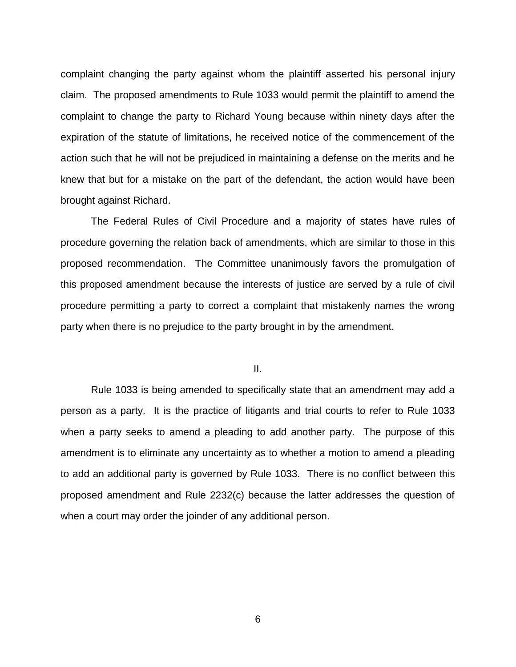complaint changing the party against whom the plaintiff asserted his personal injury claim. The proposed amendments to Rule 1033 would permit the plaintiff to amend the complaint to change the party to Richard Young because within ninety days after the expiration of the statute of limitations, he received notice of the commencement of the action such that he will not be prejudiced in maintaining a defense on the merits and he knew that but for a mistake on the part of the defendant, the action would have been brought against Richard.

The Federal Rules of Civil Procedure and a majority of states have rules of procedure governing the relation back of amendments, which are similar to those in this proposed recommendation. The Committee unanimously favors the promulgation of this proposed amendment because the interests of justice are served by a rule of civil procedure permitting a party to correct a complaint that mistakenly names the wrong party when there is no prejudice to the party brought in by the amendment.

II.

Rule 1033 is being amended to specifically state that an amendment may add a person as a party. It is the practice of litigants and trial courts to refer to Rule 1033 when a party seeks to amend a pleading to add another party. The purpose of this amendment is to eliminate any uncertainty as to whether a motion to amend a pleading to add an additional party is governed by Rule 1033. There is no conflict between this proposed amendment and Rule 2232(c) because the latter addresses the question of when a court may order the joinder of any additional person.

6